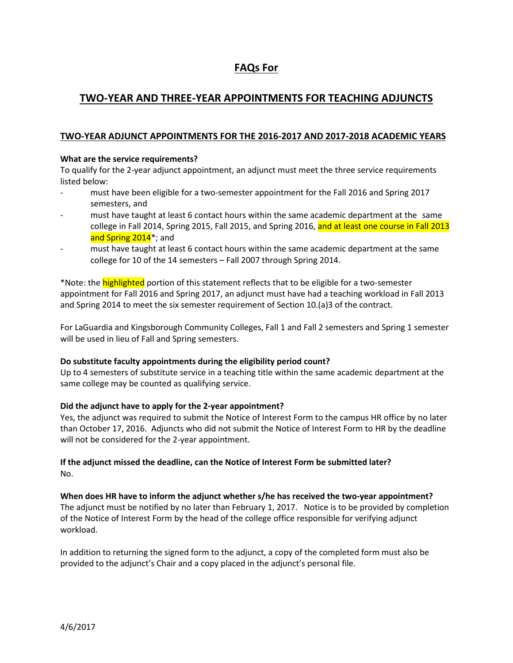# **FAQs For**

# **TWO-YEAR AND THREE-YEAR APPOINTMENTS FOR TEACHING ADJUNCTS**

# **TWO-YEAR ADJUNCT APPOINTMENTS FOR THE 2016-2017 AND 2017-2018 ACADEMIC YEARS**

# **What are the service requirements?**

To qualify for the 2-year adjunct appointment, an adjunct must meet the three service requirements listed below:

- must have been eligible for a two-semester appointment for the Fall 2016 and Spring 2017 semesters, and
- must have taught at least 6 contact hours within the same academic department at the same college in Fall 2014, Spring 2015, Fall 2015, and Spring 2016, and at least one course in Fall 2013 and Spring 2014<sup>\*</sup>; and
- must have taught at least 6 contact hours within the same academic department at the same college for 10 of the 14 semesters – Fall 2007 through Spring 2014.

\*Note: the **highlighted** portion of this statement reflects that to be eligible for a two-semester appointment for Fall 2016 and Spring 2017, an adjunct must have had a teaching workload in Fall 2013 and Spring 2014 to meet the six semester requirement of Section 10.(a)3 of the contract.

For LaGuardia and Kingsborough Community Colleges, Fall 1 and Fall 2 semesters and Spring 1 semester will be used in lieu of Fall and Spring semesters.

# **Do substitute faculty appointments during the eligibility period count?**

Up to 4 semesters of substitute service in a teaching title within the same academic department at the same college may be counted as qualifying service.

# **Did the adjunct have to apply for the 2-year appointment?**

Yes, the adjunct was required to submit the Notice of Interest Form to the campus HR office by no later than October 17, 2016. Adjuncts who did not submit the Notice of Interest Form to HR by the deadline will not be considered for the 2-year appointment.

# **If the adjunct missed the deadline, can the Notice of Interest Form be submitted later?** No.

# **When does HR have to inform the adjunct whether s/he has received the two-year appointment?**

The adjunct must be notified by no later than February 1, 2017. Notice is to be provided by completion of the Notice of Interest Form by the head of the college office responsible for verifying adjunct workload.

In addition to returning the signed form to the adjunct, a copy of the completed form must also be provided to the adjunct's Chair and a copy placed in the adjunct's personal file.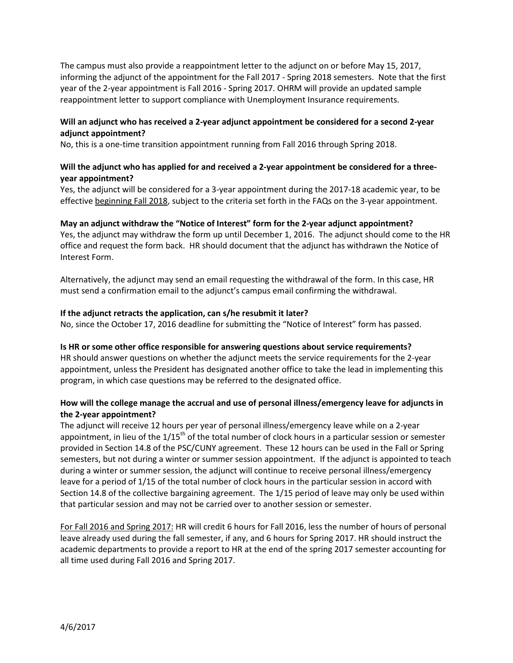The campus must also provide a reappointment letter to the adjunct on or before May 15, 2017, informing the adjunct of the appointment for the Fall 2017 - Spring 2018 semesters. Note that the first year of the 2-year appointment is Fall 2016 - Spring 2017. OHRM will provide an updated sample reappointment letter to support compliance with Unemployment Insurance requirements.

# **Will an adjunct who has received a 2-year adjunct appointment be considered for a second 2-year adjunct appointment?**

No, this is a one-time transition appointment running from Fall 2016 through Spring 2018.

# **Will the adjunct who has applied for and received a 2-year appointment be considered for a threeyear appointment?**

Yes, the adjunct will be considered for a 3-year appointment during the 2017-18 academic year, to be effective **beginning Fall 2018**, subject to the criteria set forth in the FAQs on the 3-year appointment.

# **May an adjunct withdraw the "Notice of Interest" form for the 2-year adjunct appointment?**

Yes, the adjunct may withdraw the form up until December 1, 2016. The adjunct should come to the HR office and request the form back. HR should document that the adjunct has withdrawn the Notice of Interest Form.

Alternatively, the adjunct may send an email requesting the withdrawal of the form. In this case, HR must send a confirmation email to the adjunct's campus email confirming the withdrawal.

# **If the adjunct retracts the application, can s/he resubmit it later?**

No, since the October 17, 2016 deadline for submitting the "Notice of Interest" form has passed.

# **Is HR or some other office responsible for answering questions about service requirements?**

HR should answer questions on whether the adjunct meets the service requirements for the 2-year appointment, unless the President has designated another office to take the lead in implementing this program, in which case questions may be referred to the designated office.

# **How will the college manage the accrual and use of personal illness/emergency leave for adjuncts in the 2-year appointment?**

The adjunct will receive 12 hours per year of personal illness/emergency leave while on a 2-year appointment, in lieu of the  $1/15<sup>th</sup>$  of the total number of clock hours in a particular session or semester provided in Section 14.8 of the PSC/CUNY agreement. These 12 hours can be used in the Fall or Spring semesters, but not during a winter or summer session appointment. If the adjunct is appointed to teach during a winter or summer session, the adjunct will continue to receive personal illness/emergency leave for a period of 1/15 of the total number of clock hours in the particular session in accord with Section 14.8 of the collective bargaining agreement. The 1/15 period of leave may only be used within that particular session and may not be carried over to another session or semester.

For Fall 2016 and Spring 2017: HR will credit 6 hours for Fall 2016, less the number of hours of personal leave already used during the fall semester, if any, and 6 hours for Spring 2017. HR should instruct the academic departments to provide a report to HR at the end of the spring 2017 semester accounting for all time used during Fall 2016 and Spring 2017.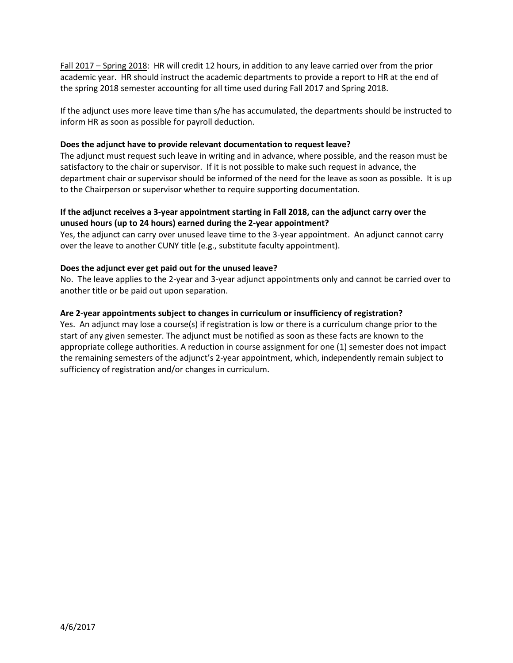Fall 2017 – Spring 2018: HR will credit 12 hours, in addition to any leave carried over from the prior academic year. HR should instruct the academic departments to provide a report to HR at the end of the spring 2018 semester accounting for all time used during Fall 2017 and Spring 2018.

If the adjunct uses more leave time than s/he has accumulated, the departments should be instructed to inform HR as soon as possible for payroll deduction.

# **Does the adjunct have to provide relevant documentation to request leave?**

The adjunct must request such leave in writing and in advance, where possible, and the reason must be satisfactory to the chair or supervisor. If it is not possible to make such request in advance, the department chair or supervisor should be informed of the need for the leave as soon as possible. It is up to the Chairperson or supervisor whether to require supporting documentation.

# **If the adjunct receives a 3-year appointment starting in Fall 2018, can the adjunct carry over the unused hours (up to 24 hours) earned during the 2-year appointment?**

Yes, the adjunct can carry over unused leave time to the 3-year appointment. An adjunct cannot carry over the leave to another CUNY title (e.g., substitute faculty appointment).

#### **Does the adjunct ever get paid out for the unused leave?**

No. The leave applies to the 2-year and 3-year adjunct appointments only and cannot be carried over to another title or be paid out upon separation.

# **Are 2-year appointments subject to changes in curriculum or insufficiency of registration?**

Yes. An adjunct may lose a course(s) if registration is low or there is a curriculum change prior to the start of any given semester. The adjunct must be notified as soon as these facts are known to the appropriate college authorities. A reduction in course assignment for one (1) semester does not impact the remaining semesters of the adjunct's 2-year appointment, which, independently remain subject to sufficiency of registration and/or changes in curriculum.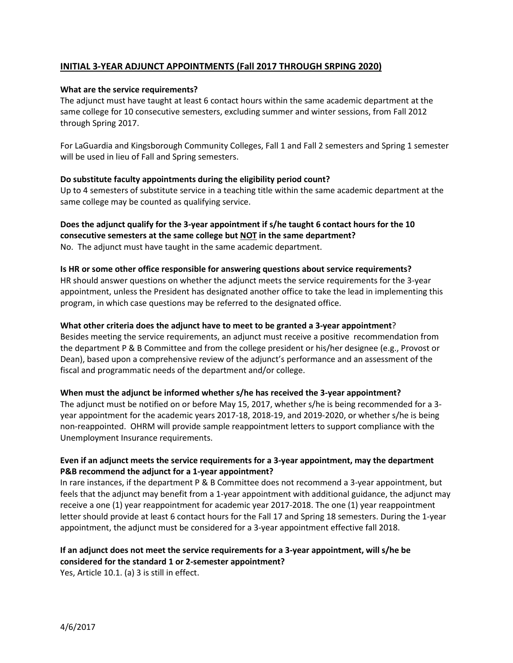# **INITIAL 3-YEAR ADJUNCT APPOINTMENTS (Fall 2017 THROUGH SRPING 2020)**

### **What are the service requirements?**

The adjunct must have taught at least 6 contact hours within the same academic department at the same college for 10 consecutive semesters, excluding summer and winter sessions, from Fall 2012 through Spring 2017.

For LaGuardia and Kingsborough Community Colleges, Fall 1 and Fall 2 semesters and Spring 1 semester will be used in lieu of Fall and Spring semesters.

#### **Do substitute faculty appointments during the eligibility period count?**

Up to 4 semesters of substitute service in a teaching title within the same academic department at the same college may be counted as qualifying service.

# **Does the adjunct qualify for the 3-year appointment if s/he taught 6 contact hours for the 10 consecutive semesters at the same college but NOT in the same department?** No. The adjunct must have taught in the same academic department.

#### **Is HR or some other office responsible for answering questions about service requirements?**

HR should answer questions on whether the adjunct meets the service requirements for the 3-year appointment, unless the President has designated another office to take the lead in implementing this program, in which case questions may be referred to the designated office.

#### **What other criteria does the adjunct have to meet to be granted a 3-year appointment**?

Besides meeting the service requirements, an adjunct must receive a positive recommendation from the department P & B Committee and from the college president or his/her designee (e.g., Provost or Dean), based upon a comprehensive review of the adjunct's performance and an assessment of the fiscal and programmatic needs of the department and/or college.

# **When must the adjunct be informed whether s/he has received the 3-year appointment?**

The adjunct must be notified on or before May 15, 2017, whether s/he is being recommended for a 3 year appointment for the academic years 2017-18, 2018-19, and 2019-2020, or whether s/he is being non-reappointed. OHRM will provide sample reappointment letters to support compliance with the Unemployment Insurance requirements.

# **Even if an adjunct meets the service requirements for a 3-year appointment, may the department P&B recommend the adjunct for a 1-year appointment?**

In rare instances, if the department P & B Committee does not recommend a 3-year appointment, but feels that the adjunct may benefit from a 1-year appointment with additional guidance, the adjunct may receive a one (1) year reappointment for academic year 2017-2018. The one (1) year reappointment letter should provide at least 6 contact hours for the Fall 17 and Spring 18 semesters. During the 1-year appointment, the adjunct must be considered for a 3-year appointment effective fall 2018.

# **If an adjunct does not meet the service requirements for a 3-year appointment, will s/he be considered for the standard 1 or 2-semester appointment?**

Yes, Article 10.1. (a) 3 is still in effect.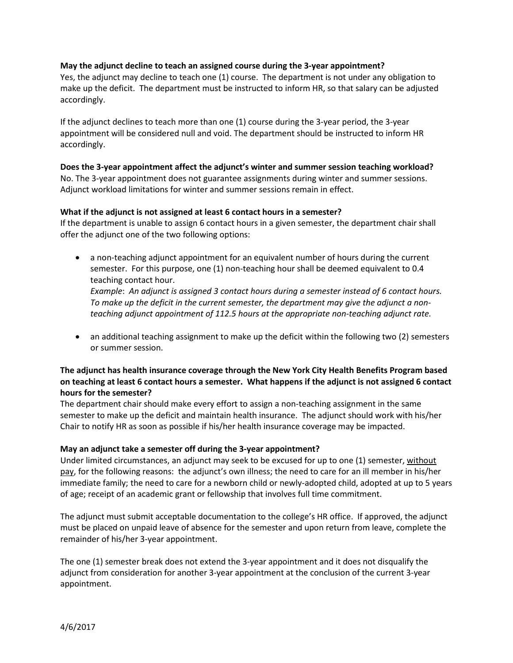### **May the adjunct decline to teach an assigned course during the 3-year appointment?**

Yes, the adjunct may decline to teach one (1) course. The department is not under any obligation to make up the deficit. The department must be instructed to inform HR, so that salary can be adjusted accordingly.

If the adjunct declines to teach more than one (1) course during the 3-year period, the 3-year appointment will be considered null and void. The department should be instructed to inform HR accordingly.

#### **Does the 3-year appointment affect the adjunct's winter and summer session teaching workload?**

No. The 3-year appointment does not guarantee assignments during winter and summer sessions. Adjunct workload limitations for winter and summer sessions remain in effect.

#### **What if the adjunct is not assigned at least 6 contact hours in a semester?**

If the department is unable to assign 6 contact hours in a given semester, the department chair shall offer the adjunct one of the two following options:

• a non-teaching adjunct appointment for an equivalent number of hours during the current semester. For this purpose, one (1) non-teaching hour shall be deemed equivalent to 0.4 teaching contact hour.

*Example*: *An adjunct is assigned 3 contact hours during a semester instead of 6 contact hours. To make up the deficit in the current semester, the department may give the adjunct a nonteaching adjunct appointment of 112.5 hours at the appropriate non-teaching adjunct rate.*

• an additional teaching assignment to make up the deficit within the following two (2) semesters or summer session.

# **The adjunct has health insurance coverage through the New York City Health Benefits Program based on teaching at least 6 contact hours a semester. What happens if the adjunct is not assigned 6 contact hours for the semester?**

The department chair should make every effort to assign a non-teaching assignment in the same semester to make up the deficit and maintain health insurance. The adjunct should work with his/her Chair to notify HR as soon as possible if his/her health insurance coverage may be impacted.

# **May an adjunct take a semester off during the 3-year appointment?**

Under limited circumstances, an adjunct may seek to be excused for up to one (1) semester, without pay, for the following reasons: the adjunct's own illness; the need to care for an ill member in his/her immediate family; the need to care for a newborn child or newly-adopted child, adopted at up to 5 years of age; receipt of an academic grant or fellowship that involves full time commitment.

The adjunct must submit acceptable documentation to the college's HR office. If approved, the adjunct must be placed on unpaid leave of absence for the semester and upon return from leave, complete the remainder of his/her 3-year appointment.

The one (1) semester break does not extend the 3-year appointment and it does not disqualify the adjunct from consideration for another 3-year appointment at the conclusion of the current 3-year appointment.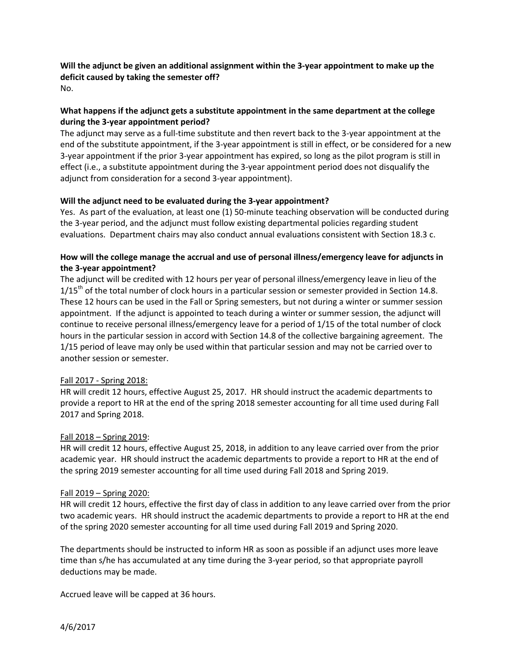**Will the adjunct be given an additional assignment within the 3-year appointment to make up the deficit caused by taking the semester off?** No.

# **What happens if the adjunct gets a substitute appointment in the same department at the college during the 3-year appointment period?**

The adjunct may serve as a full-time substitute and then revert back to the 3-year appointment at the end of the substitute appointment, if the 3-year appointment is still in effect, or be considered for a new 3-year appointment if the prior 3-year appointment has expired, so long as the pilot program is still in effect (i.e., a substitute appointment during the 3-year appointment period does not disqualify the adjunct from consideration for a second 3-year appointment).

# **Will the adjunct need to be evaluated during the 3-year appointment?**

Yes. As part of the evaluation, at least one (1) 50-minute teaching observation will be conducted during the 3-year period, and the adjunct must follow existing departmental policies regarding student evaluations. Department chairs may also conduct annual evaluations consistent with Section 18.3 c.

# **How will the college manage the accrual and use of personal illness/emergency leave for adjuncts in the 3-year appointment?**

The adjunct will be credited with 12 hours per year of personal illness/emergency leave in lieu of the  $1/15<sup>th</sup>$  of the total number of clock hours in a particular session or semester provided in Section 14.8. These 12 hours can be used in the Fall or Spring semesters, but not during a winter or summer session appointment. If the adjunct is appointed to teach during a winter or summer session, the adjunct will continue to receive personal illness/emergency leave for a period of 1/15 of the total number of clock hours in the particular session in accord with Section 14.8 of the collective bargaining agreement. The 1/15 period of leave may only be used within that particular session and may not be carried over to another session or semester.

# Fall 2017 - Spring 2018:

HR will credit 12 hours, effective August 25, 2017. HR should instruct the academic departments to provide a report to HR at the end of the spring 2018 semester accounting for all time used during Fall 2017 and Spring 2018.

# Fall 2018 – Spring 2019:

HR will credit 12 hours, effective August 25, 2018, in addition to any leave carried over from the prior academic year. HR should instruct the academic departments to provide a report to HR at the end of the spring 2019 semester accounting for all time used during Fall 2018 and Spring 2019.

#### Fall 2019 – Spring 2020:

HR will credit 12 hours, effective the first day of class in addition to any leave carried over from the prior two academic years. HR should instruct the academic departments to provide a report to HR at the end of the spring 2020 semester accounting for all time used during Fall 2019 and Spring 2020.

The departments should be instructed to inform HR as soon as possible if an adjunct uses more leave time than s/he has accumulated at any time during the 3-year period, so that appropriate payroll deductions may be made.

Accrued leave will be capped at 36 hours.